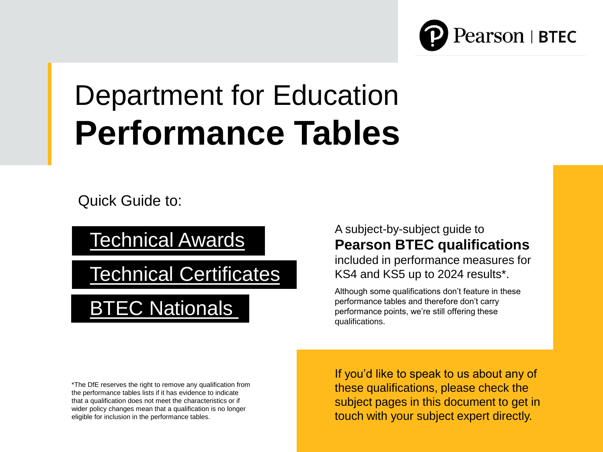

# Department for Education **Performance Tables**

Quick Guide to:

[Technical Awards](https://qualifications.pearson.com/en/qualifications/btec-tech-awards.html)

[Technical Certificates](https://qualifications.pearson.com/en/qualifications/btec-technicals.html)

**[BTEC Nationals](https://qualifications.pearson.com/en/qualifications/btec-nationals.html)** 

\*The DfE reserves the right to remove any qualification from the performance tables lists if it has evidence to indicate that a qualification does not meet the characteristics or if wider policy changes mean that a qualification is no longer eligible for inclusion in the performance tables.

A subject-by-subject guide to **Pearson BTEC qualifications**  included in performance measures for KS4 and KS5 up to 2024 results\*.

Although some qualifications don't feature in these performance tables and therefore don't carry performance points, we're still offering these qualifications.

If you'd like to speak to us about any of these qualifications, please check the subject pages in this document to get in touch with your subject expert directly.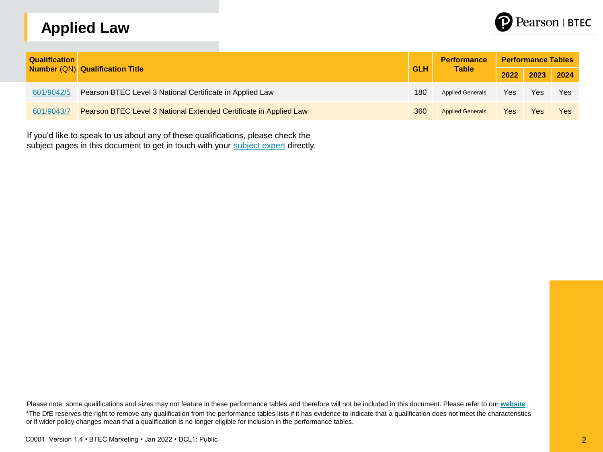# **Applied Law**



| <b>Qualification</b> | Number (QN) Qualification Title                                   |            | <b>Performance</b><br><b>Table</b> | <b>Performance Tables</b> |           |     |  |
|----------------------|-------------------------------------------------------------------|------------|------------------------------------|---------------------------|-----------|-----|--|
|                      |                                                                   | <b>GLH</b> |                                    | 2022                      | 2023 2024 |     |  |
| 601/9042/5           | Pearson BTEC Level 3 National Certificate in Applied Law          | 180        | <b>Applied Generals</b>            | Yes                       | Yes       | Yes |  |
| 601/9043/7           | Pearson BTEC Level 3 National Extended Certificate in Applied Law | 360        | <b>Applied Generals</b>            | Yes                       | Yes       | Yes |  |

If you'd like to speak to us about any of these qualifications, please check the subject pages in this document to get in touch with your [subject expert](mailto:mailto:teachinglaw%40pearson.com) directly.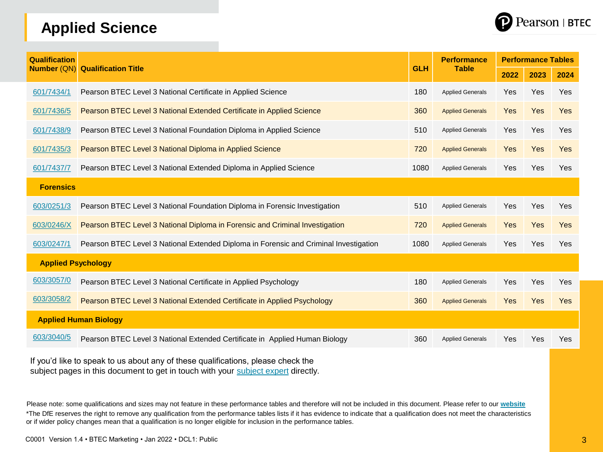## **Applied Science**



| <b>Qualification</b>      |                                                                                       |            | <b>Performance</b>      | <b>Performance Tables</b> |      |      |  |  |  |
|---------------------------|---------------------------------------------------------------------------------------|------------|-------------------------|---------------------------|------|------|--|--|--|
| <b>Number (QN)</b>        | <b>Qualification Title</b>                                                            | <b>GLH</b> | <b>Table</b>            | 2022                      | 2023 | 2024 |  |  |  |
| 601/7434/1                | Pearson BTEC Level 3 National Certificate in Applied Science                          | 180        | <b>Applied Generals</b> | Yes                       | Yes  | Yes  |  |  |  |
| 601/7436/5                | Pearson BTEC Level 3 National Extended Certificate in Applied Science                 | 360        | <b>Applied Generals</b> | Yes                       | Yes  | Yes  |  |  |  |
| 601/7438/9                | Pearson BTEC Level 3 National Foundation Diploma in Applied Science                   | 510        | <b>Applied Generals</b> | Yes                       | Yes  | Yes  |  |  |  |
| 601/7435/3                | Pearson BTEC Level 3 National Diploma in Applied Science                              | 720        | <b>Applied Generals</b> | Yes                       | Yes  | Yes  |  |  |  |
| 601/7437/7                | Pearson BTEC Level 3 National Extended Diploma in Applied Science                     | 1080       | <b>Applied Generals</b> | Yes                       | Yes  | Yes  |  |  |  |
| <b>Forensics</b>          |                                                                                       |            |                         |                           |      |      |  |  |  |
| 603/0251/3                | Pearson BTEC Level 3 National Foundation Diploma in Forensic Investigation            | 510        | <b>Applied Generals</b> | Yes                       | Yes  | Yes  |  |  |  |
| 603/0246/X                | Pearson BTEC Level 3 National Diploma in Forensic and Criminal Investigation          | 720        | <b>Applied Generals</b> | Yes                       | Yes  | Yes  |  |  |  |
| 603/0247/1                | Pearson BTEC Level 3 National Extended Diploma in Forensic and Criminal Investigation | 1080       | <b>Applied Generals</b> | Yes                       | Yes  | Yes  |  |  |  |
| <b>Applied Psychology</b> |                                                                                       |            |                         |                           |      |      |  |  |  |
| 603/3057/0                | Pearson BTEC Level 3 National Certificate in Applied Psychology                       | 180        | <b>Applied Generals</b> | Yes                       | Yes  | Yes  |  |  |  |
| 603/3058/2                | Pearson BTEC Level 3 National Extended Certificate in Applied Psychology              | 360        | <b>Applied Generals</b> | Yes                       | Yes  | Yes  |  |  |  |
|                           | <b>Applied Human Biology</b>                                                          |            |                         |                           |      |      |  |  |  |
| 603/3040/5                | Pearson BTEC Level 3 National Extended Certificate in Applied Human Biology           | 360        | <b>Applied Generals</b> | Yes                       | Yes  | Yes  |  |  |  |

If you'd like to speak to us about any of these qualifications, please check the subject pages in this document to get in touch with your [subject expert](mailto:mailto:teachingscience%40pearson.com) directly.

Please note: some qualifications and sizes may not feature in these performance tables and therefore will not be included in this document. Please refer to our **[website](https://qualifications.pearson.com/en/qualifications.html)** \*The DfE reserves the right to remove any qualification from the performance tables lists if it has evidence to indicate that a qualification does not meet the characteristics or if wider policy changes mean that a qualification is no longer eligible for inclusion in the performance tables.

C0001 Version 1.4 • BTEC Marketing • Jan 2022 • DCL1: Public 3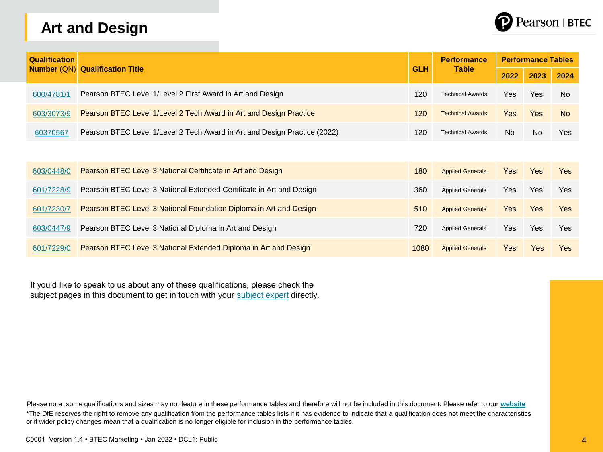# **Art and Design**



| <b>Qualification</b> |                                                                           |            | <b>Performance</b>      |            | <b>Performance Tables</b> |            |
|----------------------|---------------------------------------------------------------------------|------------|-------------------------|------------|---------------------------|------------|
|                      | <b>Number (QN) Qualification Title</b>                                    | <b>GLH</b> | <b>Table</b>            | 2022       | 2023                      | 2024       |
| 600/4781/1           | Pearson BTEC Level 1/Level 2 First Award in Art and Design                | 120        | <b>Technical Awards</b> | Yes        | Yes                       | <b>No</b>  |
| 603/3073/9           | Pearson BTEC Level 1/Level 2 Tech Award in Art and Design Practice        | 120        | <b>Technical Awards</b> | <b>Yes</b> | <b>Yes</b>                | <b>No</b>  |
| 60370567             | Pearson BTEC Level 1/Level 2 Tech Award in Art and Design Practice (2022) | 120        | <b>Technical Awards</b> | No.        | No.                       | Yes        |
|                      |                                                                           |            |                         |            |                           |            |
| 603/0448/0           | Pearson BTEC Level 3 National Certificate in Art and Design               | 180        | <b>Applied Generals</b> | <b>Yes</b> | <b>Yes</b>                | <b>Yes</b> |
| 601/7228/9           | Pearson BTEC Level 3 National Extended Certificate in Art and Design      | 360        | <b>Applied Generals</b> | Yes        | <b>Yes</b>                | <b>Yes</b> |
| 601/7230/7           | Pearson BTEC Level 3 National Foundation Diploma in Art and Design        | 510        | <b>Applied Generals</b> | <b>Yes</b> | <b>Yes</b>                | <b>Yes</b> |
| 603/0447/9           | Pearson BTEC Level 3 National Diploma in Art and Design                   | 720        | <b>Applied Generals</b> | Yes        | <b>Yes</b>                | Yes        |
| 601/7229/0           | Pearson BTEC Level 3 National Extended Diploma in Art and Design          | 1080       | <b>Applied Generals</b> | Yes        | Yes                       | <b>Yes</b> |

If you'd like to speak to us about any of these qualifications, please check the subject pages in this document to get in touch with your [subject expert](mailto:mailto:TeachingArtandDesign%40pearson.com) directly.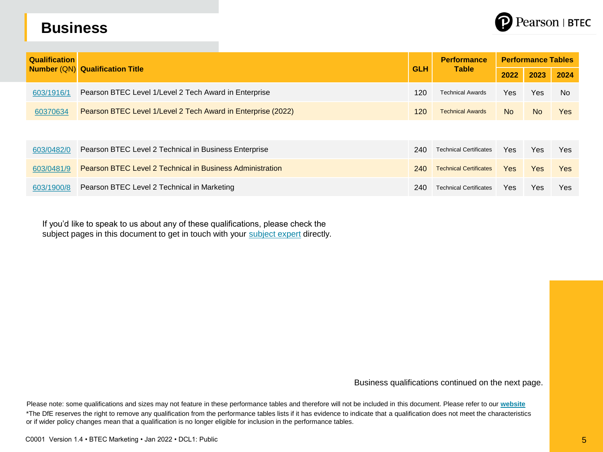#### **Business**



| <b>Qualification</b> | <b>Number (QN) Qualification Title</b>                           |            | <b>Performance</b>            | <b>Performance Tables</b> |                |           |
|----------------------|------------------------------------------------------------------|------------|-------------------------------|---------------------------|----------------|-----------|
|                      |                                                                  | <b>GLH</b> | <b>Table</b>                  | 2022                      | 2023           | 2024      |
| 603/1916/1           | Pearson BTEC Level 1/Level 2 Tech Award in Enterprise            | 120        | <b>Technical Awards</b>       | Yes                       | Yes            | <b>No</b> |
| 60370634             | Pearson BTEC Level 1/Level 2 Tech Award in Enterprise (2022)     | 120        | <b>Technical Awards</b>       | <b>No</b>                 | N <sub>o</sub> | Yes       |
|                      |                                                                  |            |                               |                           |                |           |
| 603/0482/0           | Pearson BTEC Level 2 Technical in Business Enterprise            | 240        | <b>Technical Certificates</b> | Yes                       | Yes            | Yes       |
| 603/0481/9           | <b>Pearson BTEC Level 2 Technical in Business Administration</b> | 240        | <b>Technical Certificates</b> | Yes                       | Yes            | Yes       |
| 603/1900/8           | Pearson BTEC Level 2 Technical in Marketing                      | 240        | <b>Technical Certificates</b> | Yes                       | Yes            | Yes       |

If you'd like to speak to us about any of these qualifications, please check the subject pages in this document to get in touch with your [subject expert](mailto:mailto:teachingbusiness%40pearson.com) directly.

Business qualifications continued on the next page.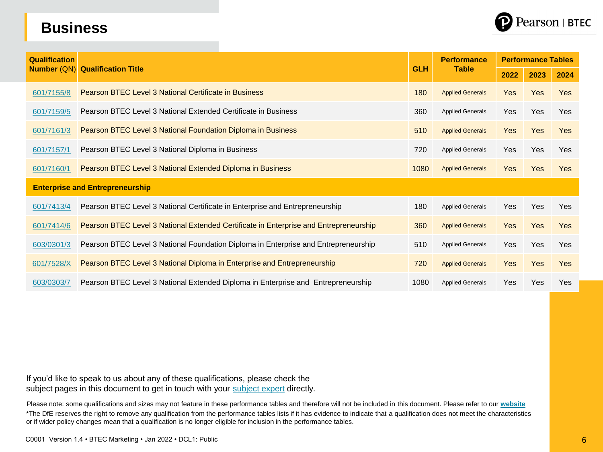# Pearson | BTEC

#### **Business**

| <b>Qualification</b> |                                                                                       |            | <b>Performance</b>      | <b>Performance Tables</b> |            |            |  |
|----------------------|---------------------------------------------------------------------------------------|------------|-------------------------|---------------------------|------------|------------|--|
| <b>Number (QN)</b>   | <b>Qualification Title</b>                                                            | <b>GLH</b> | <b>Table</b>            | 2022                      | 2023       | 2024       |  |
| 601/7155/8           | <b>Pearson BTEC Level 3 National Certificate in Business</b>                          | 180        | <b>Applied Generals</b> | <b>Yes</b>                | <b>Yes</b> | <b>Yes</b> |  |
| 601/7159/5           | Pearson BTEC Level 3 National Extended Certificate in Business                        | 360        | <b>Applied Generals</b> | Yes                       | Yes        | <b>Yes</b> |  |
| 601/7161/3           | Pearson BTEC Level 3 National Foundation Diploma in Business                          | 510        | <b>Applied Generals</b> | <b>Yes</b>                | <b>Yes</b> | <b>Yes</b> |  |
| 601/7157/1           | Pearson BTEC Level 3 National Diploma in Business                                     | 720        | <b>Applied Generals</b> | Yes                       | Yes        | <b>Yes</b> |  |
| 601/7160/1           | Pearson BTEC Level 3 National Extended Diploma in Business                            | 1080       | <b>Applied Generals</b> | <b>Yes</b>                | <b>Yes</b> | <b>Yes</b> |  |
|                      | <b>Enterprise and Entrepreneurship</b>                                                |            |                         |                           |            |            |  |
| 601/7413/4           | Pearson BTEC Level 3 National Certificate in Enterprise and Entrepreneurship          | 180        | <b>Applied Generals</b> | Yes                       | Yes        | Yes        |  |
| 601/7414/6           | Pearson BTEC Level 3 National Extended Certificate in Enterprise and Entrepreneurship | 360        | <b>Applied Generals</b> | <b>Yes</b>                | Yes        | Yes        |  |
| 603/0301/3           | Pearson BTEC Level 3 National Foundation Diploma in Enterprise and Entrepreneurship   | 510        | <b>Applied Generals</b> | <b>Yes</b>                | Yes        | <b>Yes</b> |  |
| 601/7528/X           | Pearson BTEC Level 3 National Diploma in Enterprise and Entrepreneurship              | 720        | <b>Applied Generals</b> | <b>Yes</b>                | <b>Yes</b> | <b>Yes</b> |  |
| 603/0303/7           | Pearson BTEC Level 3 National Extended Diploma in Enterprise and Entrepreneurship     | 1080       | <b>Applied Generals</b> | <b>Yes</b>                | Yes        | <b>Yes</b> |  |

If you'd like to speak to us about any of these qualifications, please check the subject pages in this document to get in touch with your [subject expert](mailto:mailto:teachingbusiness%40pearson.com) directly.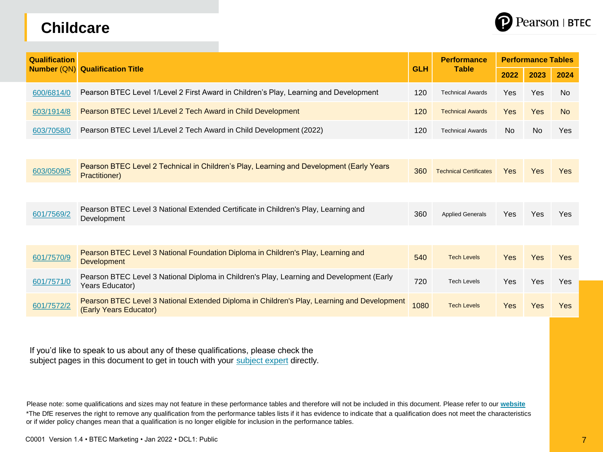#### **Childcare**



| <b>Qualification</b> | <b>Number (QN) Qualification Title</b>                                                                                |            | <b>Performance</b><br><b>Table</b> | <b>Performance Tables</b> |           |            |  |
|----------------------|-----------------------------------------------------------------------------------------------------------------------|------------|------------------------------------|---------------------------|-----------|------------|--|
|                      |                                                                                                                       | <b>GLH</b> |                                    | 2022                      | 2023      | 2024       |  |
| 600/6814/0           | Pearson BTEC Level 1/Level 2 First Award in Children's Play, Learning and Development                                 | 120        | <b>Technical Awards</b>            | Yes                       | Yes       | <b>No</b>  |  |
| 603/1914/8           | Pearson BTEC Level 1/Level 2 Tech Award in Child Development                                                          | 120        | <b>Technical Awards</b>            | <b>Yes</b>                | Yes       | <b>No</b>  |  |
| 603/7058/0           | Pearson BTEC Level 1/Level 2 Tech Award in Child Development (2022)                                                   | 120        | <b>Technical Awards</b>            | <b>No</b>                 | <b>No</b> | Yes        |  |
|                      |                                                                                                                       |            |                                    |                           |           |            |  |
| 603/0509/5           | Pearson BTEC Level 2 Technical in Children's Play, Learning and Development (Early Years<br>Practitioner)             | 360        | <b>Technical Certificates</b>      | <b>Yes</b>                | Yes       | <b>Yes</b> |  |
|                      |                                                                                                                       |            |                                    |                           |           |            |  |
| 601/7569/2           | Pearson BTEC Level 3 National Extended Certificate in Children's Play, Learning and<br>Development                    | 360        | <b>Applied Generals</b>            | Yes                       | Yes       | Yes        |  |
|                      |                                                                                                                       |            |                                    |                           |           |            |  |
| 601/7570/9           | Pearson BTEC Level 3 National Foundation Diploma in Children's Play, Learning and<br>Development                      | 540        | <b>Tech Levels</b>                 | <b>Yes</b>                | Yes       | Yes        |  |
| 601/7571/0           | Pearson BTEC Level 3 National Diploma in Children's Play, Learning and Development (Early<br>Years Educator)          | 720        | <b>Tech Levels</b>                 | Yes                       | Yes       | Yes        |  |
| 601/7572/2           | Pearson BTEC Level 3 National Extended Diploma in Children's Play, Learning and Development<br>(Early Years Educator) | 1080       | <b>Tech Levels</b>                 | <b>Yes</b>                | Yes       | Yes        |  |

If you'd like to speak to us about any of these qualifications, please check the subject pages in this document to get in touch with your [subject expert](mailto:mailto:teachingchildcare%40pearson.com) directly.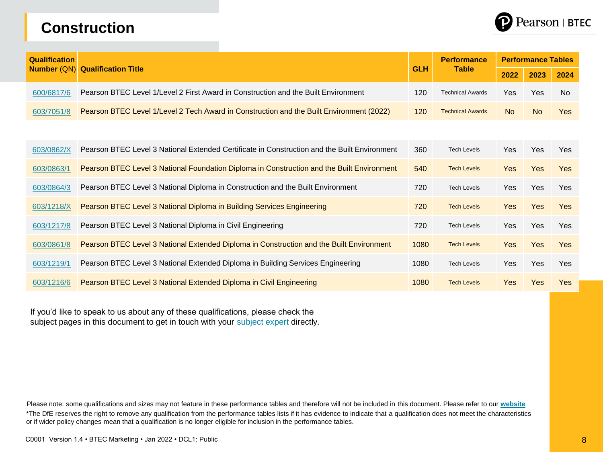#### **Construction**



| <b>Qualification</b> | <b>Qualification Title</b>                                                                   |            | <b>Performance</b>      | <b>Performance Tables</b> |            |            |  |
|----------------------|----------------------------------------------------------------------------------------------|------------|-------------------------|---------------------------|------------|------------|--|
| <b>Number (QN)</b>   |                                                                                              | <b>GLH</b> | <b>Table</b>            | 2022                      | 2023       | 2024       |  |
| 600/6817/6           | Pearson BTEC Level 1/Level 2 First Award in Construction and the Built Environment           | 120        | <b>Technical Awards</b> | Yes                       | Yes        | <b>No</b>  |  |
| 603/7051/8           | Pearson BTEC Level 1/Level 2 Tech Award in Construction and the Built Environment (2022)     | 120        | <b>Technical Awards</b> | <b>No</b>                 | <b>No</b>  | <b>Yes</b> |  |
|                      |                                                                                              |            |                         |                           |            |            |  |
| 603/0862/X           | Pearson BTEC Level 3 National Extended Certificate in Construction and the Built Environment | 360        | <b>Tech Levels</b>      | <b>Yes</b>                | <b>Yes</b> | <b>Yes</b> |  |
| 603/0863/1           | Pearson BTEC Level 3 National Foundation Diploma in Construction and the Built Environment   | 540        | <b>Tech Levels</b>      | <b>Yes</b>                | <b>Yes</b> | <b>Yes</b> |  |
| 603/0864/3           | Pearson BTEC Level 3 National Diploma in Construction and the Built Environment              | 720        | <b>Tech Levels</b>      | Yes                       | <b>Yes</b> | <b>Yes</b> |  |
| 603/1218/X           | Pearson BTEC Level 3 National Diploma in Building Services Engineering                       | 720        | <b>Tech Levels</b>      | <b>Yes</b>                | <b>Yes</b> | <b>Yes</b> |  |
| 603/1217/8           | Pearson BTEC Level 3 National Diploma in Civil Engineering                                   | 720        | <b>Tech Levels</b>      | <b>Yes</b>                | Yes        | Yes        |  |
| 603/0861/8           | Pearson BTEC Level 3 National Extended Diploma in Construction and the Built Environment     | 1080       | <b>Tech Levels</b>      | <b>Yes</b>                | <b>Yes</b> | <b>Yes</b> |  |
| 603/1219/1           | Pearson BTEC Level 3 National Extended Diploma in Building Services Engineering              | 1080       | <b>Tech Levels</b>      | Yes                       | Yes        | Yes        |  |
| 603/1216/6           | Pearson BTEC Level 3 National Extended Diploma in Civil Engineering                          | 1080       | <b>Tech Levels</b>      | <b>Yes</b>                | <b>Yes</b> | Yes        |  |

If you'd like to speak to us about any of these qualifications, please check the subject pages in this document to get in touch with your [subject expert](mailto:mailto:TeachingConstruction%40pearson.com) directly.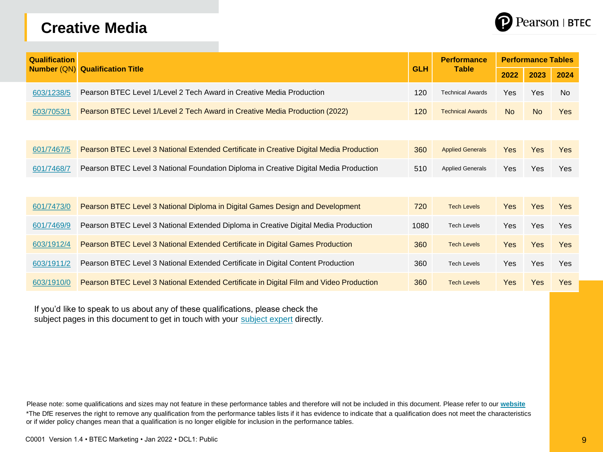#### **Creative Media**



| <b>Qualification</b> |                                                                                         |            | <b>Performance</b>      | <b>Performance Tables</b> |            |            |  |
|----------------------|-----------------------------------------------------------------------------------------|------------|-------------------------|---------------------------|------------|------------|--|
| <b>Number (QN)</b>   | <b>Qualification Title</b>                                                              | <b>GLH</b> | <b>Table</b>            | 2022                      | 2023       | 2024       |  |
| 603/1238/5           | Pearson BTEC Level 1/Level 2 Tech Award in Creative Media Production                    | 120        | <b>Technical Awards</b> | Yes                       | Yes        | <b>No</b>  |  |
| 603/7053/1           | Pearson BTEC Level 1/Level 2 Tech Award in Creative Media Production (2022)             | 120        | <b>Technical Awards</b> | <b>No</b>                 | <b>No</b>  | <b>Yes</b> |  |
|                      |                                                                                         |            |                         |                           |            |            |  |
| 601/7467/5           | Pearson BTEC Level 3 National Extended Certificate in Creative Digital Media Production | 360        | <b>Applied Generals</b> | <b>Yes</b>                | <b>Yes</b> | <b>Yes</b> |  |
| 601/7468/7           | Pearson BTEC Level 3 National Foundation Diploma in Creative Digital Media Production   | 510        | <b>Applied Generals</b> | Yes                       | <b>Yes</b> | Yes        |  |
|                      |                                                                                         |            |                         |                           |            |            |  |
| 601/7473/0           | Pearson BTEC Level 3 National Diploma in Digital Games Design and Development           | 720        | <b>Tech Levels</b>      | <b>Yes</b>                | Yes        | Yes        |  |
| 601/7469/9           | Pearson BTEC Level 3 National Extended Diploma in Creative Digital Media Production     | 1080       | <b>Tech Levels</b>      | <b>Yes</b>                | Yes        | Yes        |  |
| 603/1912/4           | Pearson BTEC Level 3 National Extended Certificate in Digital Games Production          | 360        | <b>Tech Levels</b>      | <b>Yes</b>                | <b>Yes</b> | <b>Yes</b> |  |
| 603/1911/2           | Pearson BTEC Level 3 National Extended Certificate in Digital Content Production        | 360        | <b>Tech Levels</b>      | <b>Yes</b>                | <b>Yes</b> | <b>Yes</b> |  |
| 603/1910/0           | Pearson BTEC Level 3 National Extended Certificate in Digital Film and Video Production | 360        | <b>Tech Levels</b>      | Yes                       | <b>Yes</b> | Yes        |  |

If you'd like to speak to us about any of these qualifications, please check the subject pages in this document to get in touch with your [subject expert](mailto:mailto:TeachingMedia%40pearson.com) directly.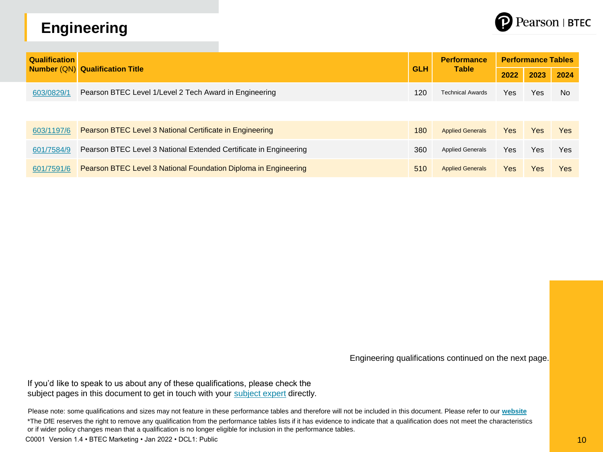# **Engineering**



| <b>Qualification</b> | <b>Number (QN) Qualification Title</b>                            |            | <b>Performance</b>      | <b>Performance Tables</b> |      |            |  |
|----------------------|-------------------------------------------------------------------|------------|-------------------------|---------------------------|------|------------|--|
|                      |                                                                   | <b>GLH</b> | <b>Table</b>            | 2022                      | 2023 | 2024       |  |
| 603/0829/1           | Pearson BTEC Level 1/Level 2 Tech Award in Engineering            | 120        | <b>Technical Awards</b> | Yes                       | Yes  | <b>No</b>  |  |
|                      |                                                                   |            |                         |                           |      |            |  |
| 603/1197/6           | Pearson BTEC Level 3 National Certificate in Engineering          | 180        | <b>Applied Generals</b> | Yes                       | Yes  | <b>Yes</b> |  |
| 601/7584/9           | Pearson BTEC Level 3 National Extended Certificate in Engineering | 360        | <b>Applied Generals</b> | Yes                       | Yes  | <b>Yes</b> |  |
| 601/7591/6           | Pearson BTEC Level 3 National Foundation Diploma in Engineering   | 510        | <b>Applied Generals</b> | Yes                       | Yes  | <b>Yes</b> |  |

Engineering qualifications continued on the next page.

If you'd like to speak to us about any of these qualifications, please check the subject pages in this document to get in touch with your [subject expert](mailto:mailto:TeachingEngineering%40Pearson.com) directly.

Please note: some qualifications and sizes may not feature in these performance tables and therefore will not be included in this document. Please refer to our **[website](https://qualifications.pearson.com/en/qualifications.html)**

\*The DfE reserves the right to remove any qualification from the performance tables lists if it has evidence to indicate that a qualification does not meet the characteristics or if wider policy changes mean that a qualification is no longer eligible for inclusion in the performance tables.

C0001 Version 1.4 • BTEC Marketing • Jan 2022 • DCL1: Public 10 and 10 and 10 and 10 and 10 and 10 and 10 and 10 and 10 and 10 and 10 and 10 and 10 and 10 and 10 and 10 and 10 and 10 and 10 and 10 and 10 and 10 and 10 and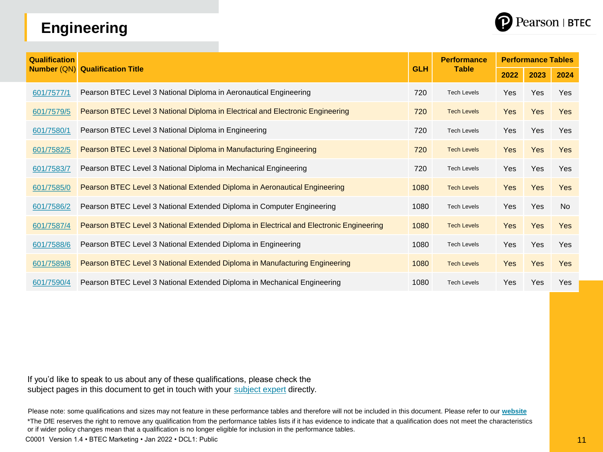# **Engineering**



| <b>Qualification</b> |                                                                                         |            | <b>Performance</b> | <b>Performance Tables</b> |            |            |  |
|----------------------|-----------------------------------------------------------------------------------------|------------|--------------------|---------------------------|------------|------------|--|
| <b>Number (QN)</b>   | <b>Qualification Title</b>                                                              | <b>GLH</b> | <b>Table</b>       | 2022                      | 2023       | 2024       |  |
| 601/7577/1           | Pearson BTEC Level 3 National Diploma in Aeronautical Engineering                       | 720        | <b>Tech Levels</b> | Yes                       | <b>Yes</b> | <b>Yes</b> |  |
| 601/7579/5           | Pearson BTEC Level 3 National Diploma in Electrical and Electronic Engineering          | 720        | <b>Tech Levels</b> | <b>Yes</b>                | <b>Yes</b> | <b>Yes</b> |  |
| 601/7580/1           | Pearson BTEC Level 3 National Diploma in Engineering                                    | 720        | <b>Tech Levels</b> | Yes                       | Yes        | Yes        |  |
| 601/7582/5           | Pearson BTEC Level 3 National Diploma in Manufacturing Engineering                      | 720        | <b>Tech Levels</b> | <b>Yes</b>                | <b>Yes</b> | <b>Yes</b> |  |
| 601/7583/7           | Pearson BTEC Level 3 National Diploma in Mechanical Engineering                         | 720        | <b>Tech Levels</b> | Yes                       | Yes        | Yes        |  |
| 601/7585/0           | Pearson BTEC Level 3 National Extended Diploma in Aeronautical Engineering              | 1080       | <b>Tech Levels</b> | <b>Yes</b>                | <b>Yes</b> | <b>Yes</b> |  |
| 601/7586/2           | Pearson BTEC Level 3 National Extended Diploma in Computer Engineering                  | 1080       | <b>Tech Levels</b> | Yes                       | Yes        | No         |  |
| 601/7587/4           | Pearson BTEC Level 3 National Extended Diploma in Electrical and Electronic Engineering | 1080       | <b>Tech Levels</b> | <b>Yes</b>                | <b>Yes</b> | <b>Yes</b> |  |
| 601/7588/6           | Pearson BTEC Level 3 National Extended Diploma in Engineering                           | 1080       | <b>Tech Levels</b> | <b>Yes</b>                | Yes        | Yes        |  |
| 601/7589/8           | Pearson BTEC Level 3 National Extended Diploma in Manufacturing Engineering             | 1080       | <b>Tech Levels</b> | <b>Yes</b>                | <b>Yes</b> | <b>Yes</b> |  |
| 601/7590/4           | Pearson BTEC Level 3 National Extended Diploma in Mechanical Engineering                | 1080       | <b>Tech Levels</b> | Yes                       | Yes        | <b>Yes</b> |  |

If you'd like to speak to us about any of these qualifications, please check the subject pages in this document to get in touch with your [subject expert](mailto:mailto:TeachingEngineering%40Pearson.com) directly.

Please note: some qualifications and sizes may not feature in these performance tables and therefore will not be included in this document. Please refer to our **[website](https://qualifications.pearson.com/en/qualifications.html)** \*The DfE reserves the right to remove any qualification from the performance tables lists if it has evidence to indicate that a qualification does not meet the characteristics or if wider policy changes mean that a qualification is no longer eligible for inclusion in the performance tables.

C0001 Version 1.4 • BTEC Marketing • Jan 2022 • DCL1: Public 11 and 1202 • The Context of the Context of the Context of the Context of the Context of the Context of the Context of the Context of the Context of the Context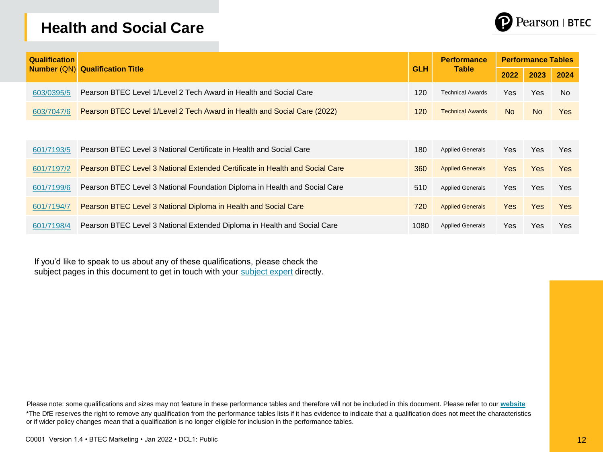#### **Health and Social Care**



| <b>Qualification</b> | <b>Number (QN) Qualification Title</b>                                       |            | <b>Performance</b><br><b>Table</b> | <b>Performance Tables</b> |            |                |  |
|----------------------|------------------------------------------------------------------------------|------------|------------------------------------|---------------------------|------------|----------------|--|
|                      |                                                                              | <b>GLH</b> |                                    | 2022                      | 2023       | 2024           |  |
| 603/0395/5           | Pearson BTEC Level 1/Level 2 Tech Award in Health and Social Care            | 120        | <b>Technical Awards</b>            | Yes                       | Yes.       | N <sub>o</sub> |  |
| 603/7047/6           | Pearson BTEC Level 1/Level 2 Tech Award in Health and Social Care (2022)     | 120        | <b>Technical Awards</b>            | <b>No</b>                 | <b>No</b>  | <b>Yes</b>     |  |
|                      |                                                                              |            |                                    |                           |            |                |  |
| 601/7193/5           | Pearson BTEC Level 3 National Certificate in Health and Social Care          | 180        | <b>Applied Generals</b>            | Yes                       | Yes.       | <b>Yes</b>     |  |
| 601/7197/2           | Pearson BTEC Level 3 National Extended Certificate in Health and Social Care | 360        | <b>Applied Generals</b>            | <b>Yes</b>                | <b>Yes</b> | <b>Yes</b>     |  |
| 601/7199/6           | Pearson BTEC Level 3 National Foundation Diploma in Health and Social Care   | 510        | <b>Applied Generals</b>            | Yes                       | Yes        | Yes            |  |
| 601/7194/7           | Pearson BTEC Level 3 National Diploma in Health and Social Care              | 720        | <b>Applied Generals</b>            | <b>Yes</b>                | Yes        | <b>Yes</b>     |  |
| 601/7198/4           | Pearson BTEC Level 3 National Extended Diploma in Health and Social Care     | 1080       | <b>Applied Generals</b>            | Yes.                      | Yes        | Yes            |  |

If you'd like to speak to us about any of these qualifications, please check the subject pages in this document to get in touch with your [subject expert](mailto:mailto:TeachingHealthandSocialCare%40pearson.com) directly.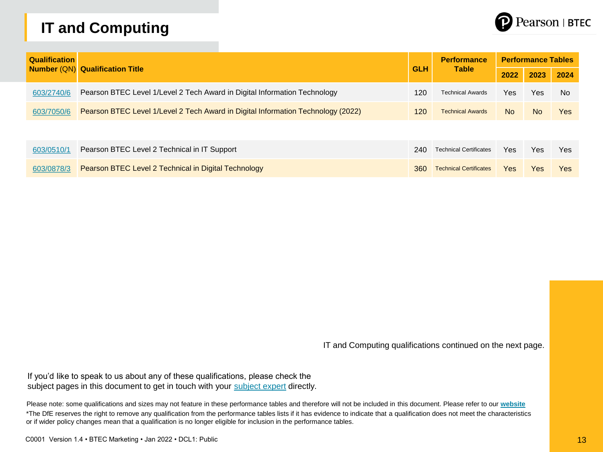# **IT and Computing**



| <b>Qualification</b> |                                                                                  |            | <b>Performance</b>            | <b>Performance Tables</b> |      |            |  |
|----------------------|----------------------------------------------------------------------------------|------------|-------------------------------|---------------------------|------|------------|--|
|                      | <b>Number (QN) Qualification Title</b>                                           | <b>GLH</b> | <b>Table</b>                  | 2022                      | 2023 | 2024       |  |
| 603/2740/6           | Pearson BTEC Level 1/Level 2 Tech Award in Digital Information Technology        | 120        | <b>Technical Awards</b>       | Yes:                      | Yes  | <b>No</b>  |  |
| 603/7050/6           | Pearson BTEC Level 1/Level 2 Tech Award in Digital Information Technology (2022) | 120        | <b>Technical Awards</b>       | No.                       | No.  | <b>Yes</b> |  |
|                      |                                                                                  |            |                               |                           |      |            |  |
| 603/0510/1           | Pearson BTEC Level 2 Technical in IT Support                                     | 240        | <b>Technical Certificates</b> | Yes                       | Yes  | <b>Yes</b> |  |
| 603/0878/3           | Pearson BTEC Level 2 Technical in Digital Technology                             | 360        | <b>Technical Certificates</b> | Yes                       | Yes  | Yes        |  |

IT and Computing qualifications continued on the next page.

If you'd like to speak to us about any of these qualifications, please check the subject pages in this document to get in touch with your [subject expert](mailto:mailto:TeachingComputerScience%40pearson.com) directly.

Please note: some qualifications and sizes may not feature in these performance tables and therefore will not be included in this document. Please refer to our **[website](https://qualifications.pearson.com/en/qualifications.html)** \*The DfE reserves the right to remove any qualification from the performance tables lists if it has evidence to indicate that a qualification does not meet the characteristics or if wider policy changes mean that a qualification is no longer eligible for inclusion in the performance tables.

C0001 Version 1.4 • BTEC Marketing • Jan 2022 • DCL1: Public 13 and 13 and 13 and 13 and 13 and 13 and 13 and 13 and 13 and 13 and 13 and 13 and 13 and 13 and 13 and 13 and 13 and 13 and 13 and 13 and 13 and 13 and 13 and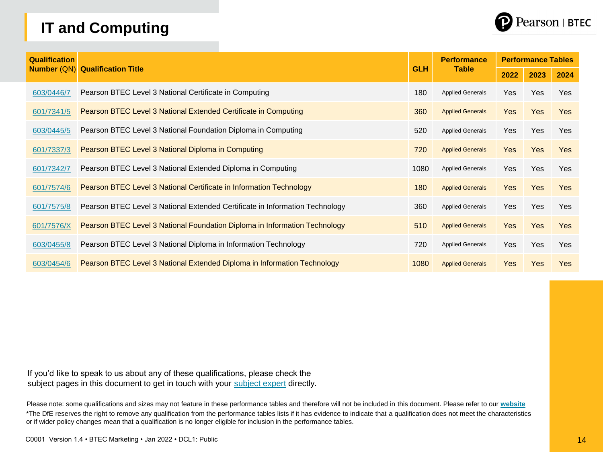# **IT and Computing**



| <b>Qualification</b> |                                                                              |            | <b>Performance</b><br><b>Table</b> | <b>Performance Tables</b> |            |            |  |
|----------------------|------------------------------------------------------------------------------|------------|------------------------------------|---------------------------|------------|------------|--|
| <b>Number (QN)</b>   | <b>Qualification Title</b>                                                   | <b>GLH</b> |                                    | 2022                      | 2023       | 2024       |  |
| 603/0446/7           | Pearson BTEC Level 3 National Certificate in Computing                       | 180        | <b>Applied Generals</b>            | Yes                       | Yes        | Yes        |  |
| 601/7341/5           | Pearson BTEC Level 3 National Extended Certificate in Computing              | 360        | <b>Applied Generals</b>            | Yes                       | <b>Yes</b> | <b>Yes</b> |  |
| 603/0445/5           | Pearson BTEC Level 3 National Foundation Diploma in Computing                | 520        | <b>Applied Generals</b>            | Yes                       | Yes        | <b>Yes</b> |  |
| 601/7337/3           | Pearson BTEC Level 3 National Diploma in Computing                           | 720        | <b>Applied Generals</b>            | Yes                       | <b>Yes</b> | <b>Yes</b> |  |
| 601/7342/7           | Pearson BTEC Level 3 National Extended Diploma in Computing                  | 1080       | <b>Applied Generals</b>            | Yes                       | <b>Yes</b> | <b>Yes</b> |  |
| 601/7574/6           | Pearson BTEC Level 3 National Certificate in Information Technology          | 180        | <b>Applied Generals</b>            | Yes                       | <b>Yes</b> | <b>Yes</b> |  |
| 601/7575/8           | Pearson BTEC Level 3 National Extended Certificate in Information Technology | 360        | <b>Applied Generals</b>            | Yes                       | <b>Yes</b> | <b>Yes</b> |  |
| 601/7576/X           | Pearson BTEC Level 3 National Foundation Diploma in Information Technology   | 510        | <b>Applied Generals</b>            | Yes                       | <b>Yes</b> | <b>Yes</b> |  |
| 603/0455/8           | Pearson BTEC Level 3 National Diploma in Information Technology              | 720        | <b>Applied Generals</b>            | Yes                       | <b>Yes</b> | <b>Yes</b> |  |
| 603/0454/6           | Pearson BTEC Level 3 National Extended Diploma in Information Technology     | 1080       | <b>Applied Generals</b>            | <b>Yes</b>                | <b>Yes</b> | <b>Yes</b> |  |

If you'd like to speak to us about any of these qualifications, please check the subject pages in this document to get in touch with your [subject expert](mailto:mailto:TeachingComputerScience%40pearson.com) directly.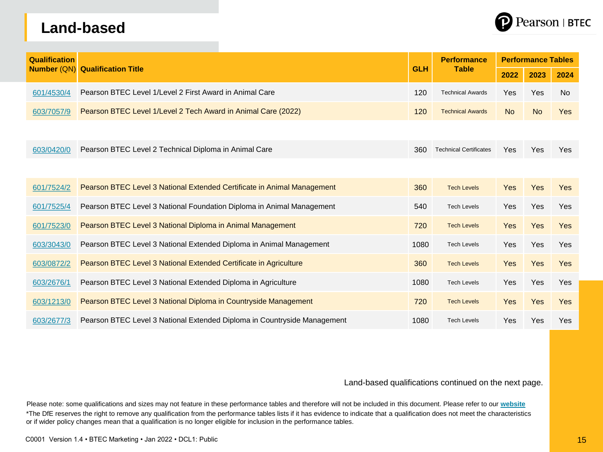#### **Land-based**



| <b>Qualification</b> |                                                                          |            | <b>Performance</b><br><b>Table</b> | <b>Performance Tables</b> |            |            |  |
|----------------------|--------------------------------------------------------------------------|------------|------------------------------------|---------------------------|------------|------------|--|
| <b>Number (QN)</b>   | <b>Qualification Title</b>                                               | <b>GLH</b> |                                    | 2022                      | 2023       | 2024       |  |
| 601/4530/4           | Pearson BTEC Level 1/Level 2 First Award in Animal Care                  | 120        | <b>Technical Awards</b>            | Yes                       | Yes        | <b>No</b>  |  |
| 603/7057/9           | Pearson BTEC Level 1/Level 2 Tech Award in Animal Care (2022)            | 120        | <b>Technical Awards</b>            | No.                       | <b>No</b>  | <b>Yes</b> |  |
|                      |                                                                          |            |                                    |                           |            |            |  |
| 603/0420/0           | Pearson BTEC Level 2 Technical Diploma in Animal Care                    | 360        | <b>Technical Certificates</b>      | Yes                       | Yes        | <b>Yes</b> |  |
|                      |                                                                          |            |                                    |                           |            |            |  |
| 601/7524/2           | Pearson BTEC Level 3 National Extended Certificate in Animal Management  | 360        | <b>Tech Levels</b>                 | <b>Yes</b>                | Yes        | Yes        |  |
| 601/7525/4           | Pearson BTEC Level 3 National Foundation Diploma in Animal Management    | 540        | <b>Tech Levels</b>                 | <b>Yes</b>                | Yes        | Yes        |  |
| 601/7523/0           | Pearson BTEC Level 3 National Diploma in Animal Management               | 720        | <b>Tech Levels</b>                 | <b>Yes</b>                | <b>Yes</b> | Yes        |  |
| 603/3043/0           | Pearson BTEC Level 3 National Extended Diploma in Animal Management      | 1080       | <b>Tech Levels</b>                 | Yes                       | Yes        | Yes        |  |
| 603/0872/2           | Pearson BTEC Level 3 National Extended Certificate in Agriculture        | 360        | <b>Tech Levels</b>                 | <b>Yes</b>                | Yes        | Yes        |  |
| 603/2676/1           | Pearson BTEC Level 3 National Extended Diploma in Agriculture            | 1080       | <b>Tech Levels</b>                 | Yes                       | Yes        | Yes        |  |
| 603/1213/0           | Pearson BTEC Level 3 National Diploma in Countryside Management          | 720        | <b>Tech Levels</b>                 | Yes                       | Yes        | Yes        |  |
| 603/2677/3           | Pearson BTEC Level 3 National Extended Diploma in Countryside Management | 1080       | <b>Tech Levels</b>                 | Yes                       | Yes        | Yes        |  |

Land-based qualifications continued on the next page.

Please note: some qualifications and sizes may not feature in these performance tables and therefore will not be included in this document. Please refer to our **[website](https://qualifications.pearson.com/en/qualifications.html)** \*The DfE reserves the right to remove any qualification from the performance tables lists if it has evidence to indicate that a qualification does not meet the characteristics or if wider policy changes mean that a qualification is no longer eligible for inclusion in the performance tables.

C0001 Version 1.4 • BTEC Marketing • Jan 2022 • DCL1: Public 15 and 15 and 15 and 15 and 15 and 15 and 15 and 15 and 15 and 15 and 15 and 15 and 15 and 15 and 15 and 15 and 15 and 15 and 15 and 15 and 15 and 15 and 15 and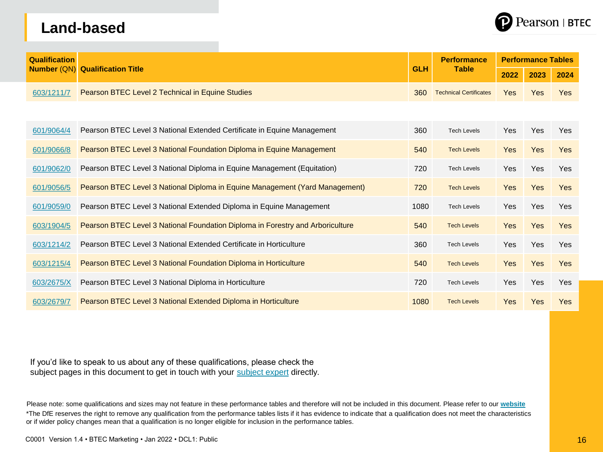# **Land-based**



| <b>Qualification</b> |                                                                                |            | <b>Performance</b>            | <b>Performance Tables</b> |            |            |  |  |
|----------------------|--------------------------------------------------------------------------------|------------|-------------------------------|---------------------------|------------|------------|--|--|
| <b>Number (QN)</b>   | <b>Qualification Title</b>                                                     | <b>GLH</b> | <b>Table</b>                  | 2022                      | 2023       | 2024       |  |  |
| 603/1211/7           | Pearson BTEC Level 2 Technical in Equine Studies                               | 360        | <b>Technical Certificates</b> | <b>Yes</b>                | <b>Yes</b> | <b>Yes</b> |  |  |
|                      |                                                                                |            |                               |                           |            |            |  |  |
| 601/9064/4           | Pearson BTEC Level 3 National Extended Certificate in Equine Management        | 360        | <b>Tech Levels</b>            | Yes                       | <b>Yes</b> | Yes        |  |  |
| 601/9066/8           | Pearson BTEC Level 3 National Foundation Diploma in Equine Management          | 540        | <b>Tech Levels</b>            | <b>Yes</b>                | <b>Yes</b> | <b>Yes</b> |  |  |
| 601/9062/0           | Pearson BTEC Level 3 National Diploma in Equine Management (Equitation)        | 720        | <b>Tech Levels</b>            | <b>Yes</b>                | Yes        | Yes        |  |  |
| 601/9056/5           | Pearson BTEC Level 3 National Diploma in Equine Management (Yard Management)   | 720        | <b>Tech Levels</b>            | <b>Yes</b>                | <b>Yes</b> | <b>Yes</b> |  |  |
| 601/9059/0           | Pearson BTEC Level 3 National Extended Diploma in Equine Management            | 1080       | <b>Tech Levels</b>            | Yes                       | Yes        | Yes        |  |  |
| 603/1904/5           | Pearson BTEC Level 3 National Foundation Diploma in Forestry and Arboriculture | 540        | <b>Tech Levels</b>            | <b>Yes</b>                | <b>Yes</b> | Yes        |  |  |
| 603/1214/2           | Pearson BTEC Level 3 National Extended Certificate in Horticulture             | 360        | <b>Tech Levels</b>            | <b>Yes</b>                | Yes        | Yes        |  |  |
| 603/1215/4           | Pearson BTEC Level 3 National Foundation Diploma in Horticulture               | 540        | <b>Tech Levels</b>            | <b>Yes</b>                | <b>Yes</b> | <b>Yes</b> |  |  |
| 603/2675/X           | Pearson BTEC Level 3 National Diploma in Horticulture                          | 720        | <b>Tech Levels</b>            | Yes                       | Yes        | Yes        |  |  |
| 603/2679/7           | Pearson BTEC Level 3 National Extended Diploma in Horticulture                 | 1080       | <b>Tech Levels</b>            | <b>Yes</b>                | <b>Yes</b> | <b>Yes</b> |  |  |

If you'd like to speak to us about any of these qualifications, please check the subject pages in this document to get in touch with your [subject expert](mailto:mailto:TeachingLandBasedStudies) directly.

Please note: some qualifications and sizes may not feature in these performance tables and therefore will not be included in this document. Please refer to our **[website](https://qualifications.pearson.com/en/qualifications.html)** \*The DfE reserves the right to remove any qualification from the performance tables lists if it has evidence to indicate that a qualification does not meet the characteristics or if wider policy changes mean that a qualification is no longer eligible for inclusion in the performance tables.

C0001 Version 1.4 • BTEC Marketing • Jan 2022 • DCL1: Public 16  $\sim$  16  $\sim$  16  $\sim$  16  $\sim$  16  $\sim$  16  $\sim$  16  $\sim$  16  $\sim$  16  $\sim$  16  $\sim$  16  $\sim$  16  $\sim$  16  $\sim$  16  $\sim$  16  $\sim$  16  $\sim$  16  $\sim$  16  $\sim$  16  $\sim$  16  $\sim$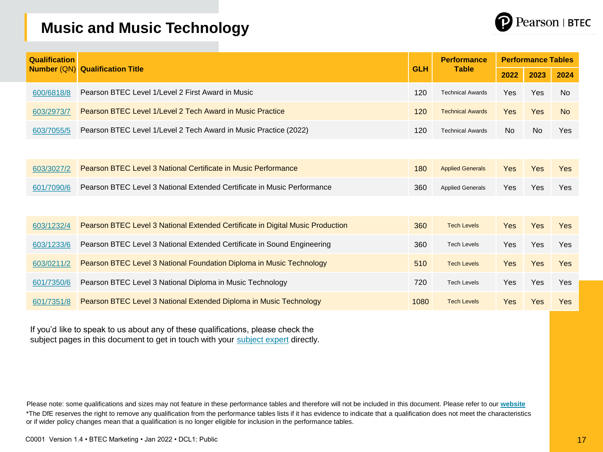

#### **Music and Music Technology**

| <b>Qualification</b> |                                                                                |            | <b>Performance</b><br><b>Table</b> | <b>Performance Tables</b> |           |            |  |  |
|----------------------|--------------------------------------------------------------------------------|------------|------------------------------------|---------------------------|-----------|------------|--|--|
| <b>Number (QN)</b>   | <b>Qualification Title</b>                                                     | <b>GLH</b> |                                    | 2022                      | 2023      | 2024       |  |  |
| 600/6818/8           | Pearson BTEC Level 1/Level 2 First Award in Music                              | 120        | <b>Technical Awards</b>            | Yes                       | Yes       | <b>No</b>  |  |  |
| 603/2973/7           | Pearson BTEC Level 1/Level 2 Tech Award in Music Practice                      | 120        | <b>Technical Awards</b>            | <b>Yes</b>                | Yes       | <b>No</b>  |  |  |
| 603/7055/5           | Pearson BTEC Level 1/Level 2 Tech Award in Music Practice (2022)               | 120        | <b>Technical Awards</b>            | No.                       | <b>No</b> | Yes        |  |  |
|                      |                                                                                |            |                                    |                           |           |            |  |  |
| 603/3027/2           | Pearson BTEC Level 3 National Certificate in Music Performance                 | 180        | <b>Applied Generals</b>            | Yes                       | Yes       | <b>Yes</b> |  |  |
| 601/7090/6           | Pearson BTEC Level 3 National Extended Certificate in Music Performance        | 360        | <b>Applied Generals</b>            | Yes                       | Yes       | Yes        |  |  |
|                      |                                                                                |            |                                    |                           |           |            |  |  |
| 603/1232/4           | Pearson BTEC Level 3 National Extended Certificate in Digital Music Production | 360        | <b>Tech Levels</b>                 | <b>Yes</b>                | Yes       | Yes        |  |  |
| 603/1233/6           | Pearson BTEC Level 3 National Extended Certificate in Sound Engineering        | 360        | <b>Tech Levels</b>                 | Yes                       | Yes       | Yes        |  |  |
| 603/0211/2           | Pearson BTEC Level 3 National Foundation Diploma in Music Technology           | 510        | <b>Tech Levels</b>                 | <b>Yes</b>                | Yes       | <b>Yes</b> |  |  |
| 601/7350/6           | Pearson BTEC Level 3 National Diploma in Music Technology                      | 720        | <b>Tech Levels</b>                 | Yes                       | Yes       | Yes        |  |  |
| 601/7351/8           | Pearson BTEC Level 3 National Extended Diploma in Music Technology             | 1080       | <b>Tech Levels</b>                 | <b>Yes</b>                | Yes       | Yes        |  |  |

If you'd like to speak to us about any of these qualifications, please check the subject pages in this document to get in touch with your [subject expert](mailto:mailto:TeachingMusic%40pearson.com) directly.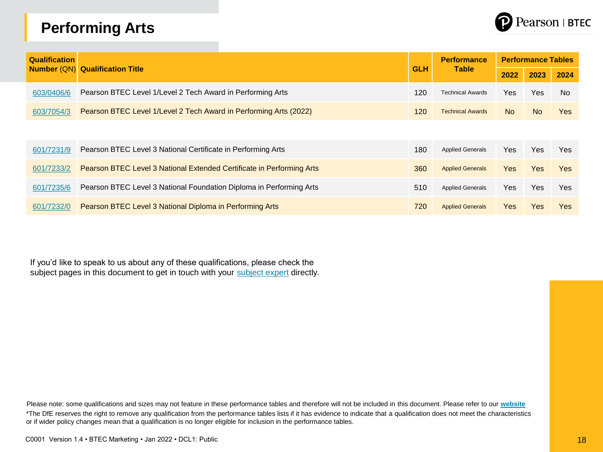# **Performing Arts**



| <b>Qualification</b> |            |                                                                              |            | <b>Performance</b>      | <b>Performance Tables</b> |            |                |  |  |
|----------------------|------------|------------------------------------------------------------------------------|------------|-------------------------|---------------------------|------------|----------------|--|--|
|                      |            | <b>Number (QN) Qualification Title</b>                                       | <b>GLH</b> | <b>Table</b>            | 2022                      | 2023       | 2024           |  |  |
|                      | 603/0406/6 | Pearson BTEC Level 1/Level 2 Tech Award in Performing Arts                   | 120        | <b>Technical Awards</b> | Yes.                      | Yes        | N <sub>o</sub> |  |  |
|                      | 603/7054/3 | Pearson BTEC Level 1/Level 2 Tech Award in Performing Arts (2022)            | 120        | <b>Technical Awards</b> | <b>No</b>                 | <b>No</b>  | <b>Yes</b>     |  |  |
|                      |            |                                                                              |            |                         |                           |            |                |  |  |
|                      | 601/7231/9 | Pearson BTEC Level 3 National Certificate in Performing Arts                 | 180        | <b>Applied Generals</b> | Yes.                      | Yes.       | <b>Yes</b>     |  |  |
|                      | 601/7233/2 | <b>Pearson BTEC Level 3 National Extended Certificate in Performing Arts</b> | 360        | <b>Applied Generals</b> | Yes:                      | Yes        | <b>Yes</b>     |  |  |
|                      | 601/7235/6 | Pearson BTEC Level 3 National Foundation Diploma in Performing Arts          | 510        | <b>Applied Generals</b> | Yes.                      | Yes.       | Yes            |  |  |
|                      | 601/7232/0 | Pearson BTEC Level 3 National Diploma in Performing Arts                     | 720        | <b>Applied Generals</b> | Yes:                      | <b>Yes</b> | Yes            |  |  |

If you'd like to speak to us about any of these qualifications, please check the subject pages in this document to get in touch with your [subject expert](mailto:mailto:teachingchildcare%40pearson.com) directly.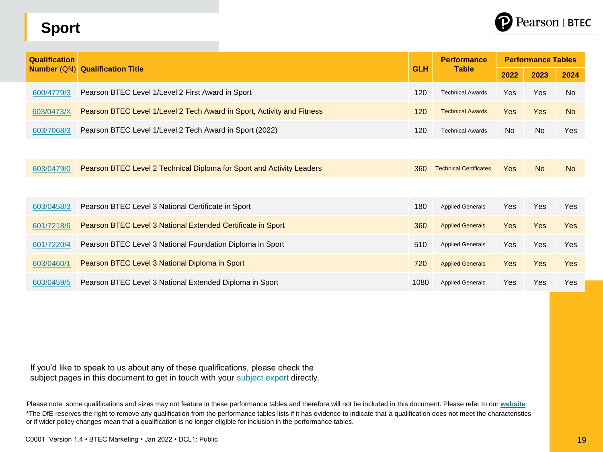# Pearson | BTEC

# **Sport**

| <b>Qualification</b> |                                                                        |            | <b>Performance</b>            | <b>Performance Tables</b> |            |            |  |
|----------------------|------------------------------------------------------------------------|------------|-------------------------------|---------------------------|------------|------------|--|
| <b>Number (QN)</b>   | <b>Qualification Title</b>                                             | <b>GLH</b> | <b>Table</b>                  | 2022                      | 2023       | 2024       |  |
| 600/4779/3           | Pearson BTEC Level 1/Level 2 First Award in Sport                      | 120        | <b>Technical Awards</b>       | Yes                       | <b>Yes</b> | <b>No</b>  |  |
| 603/0473/X           | Pearson BTEC Level 1/Level 2 Tech Award in Sport, Activity and Fitness | 120        | <b>Technical Awards</b>       | <b>Yes</b>                | <b>Yes</b> | <b>No</b>  |  |
| 603/7068/3           | Pearson BTEC Level 1/Level 2 Tech Award in Sport (2022)                | 120        | <b>Technical Awards</b>       | No                        | No         | Yes        |  |
|                      |                                                                        |            |                               |                           |            |            |  |
| 603/0479/0           | Pearson BTEC Level 2 Technical Diploma for Sport and Activity Leaders  | 360        | <b>Technical Certificates</b> | <b>Yes</b>                | <b>No</b>  | <b>No</b>  |  |
|                      |                                                                        |            |                               |                           |            |            |  |
| 603/0458/3           | Pearson BTEC Level 3 National Certificate in Sport                     | 180        | <b>Applied Generals</b>       | <b>Yes</b>                | <b>Yes</b> | <b>Yes</b> |  |
| 601/7218/6           | Pearson BTEC Level 3 National Extended Certificate in Sport            | 360        | <b>Applied Generals</b>       | <b>Yes</b>                | <b>Yes</b> | <b>Yes</b> |  |
| 601/7220/4           | Pearson BTEC Level 3 National Foundation Diploma in Sport              | 510        | <b>Applied Generals</b>       | <b>Yes</b>                | <b>Yes</b> | <b>Yes</b> |  |
| 603/0460/1           | Pearson BTEC Level 3 National Diploma in Sport                         | 720        | <b>Applied Generals</b>       | <b>Yes</b>                | <b>Yes</b> | <b>Yes</b> |  |
| 603/0459/5           | Pearson BTEC Level 3 National Extended Diploma in Sport                | 1080       | <b>Applied Generals</b>       | Yes                       | <b>Yes</b> | Yes        |  |

If you'd like to speak to us about any of these qualifications, please check the subject pages in this document to get in touch with your [subject expert](mailto:mailto:TeachingComputerScience%40pearson.com) directly.

Please note: some qualifications and sizes may not feature in these performance tables and therefore will not be included in this document. Please refer to our **[website](https://qualifications.pearson.com/en/qualifications.html)** \*The DfE reserves the right to remove any qualification from the performance tables lists if it has evidence to indicate that a qualification does not meet the characteristics or if wider policy changes mean that a qualification is no longer eligible for inclusion in the performance tables.

C0001 Version 1.4 • BTEC Marketing • Jan 2022 • DCL1: Public 19 and 19 and 19 and 19 and 19 and 19 and 19 and 19 and 19 and 19 and 19 and 19 and 19 and 19 and 19 and 19 and 19 and 19 and 19 and 19 and 19 and 19 and 19 and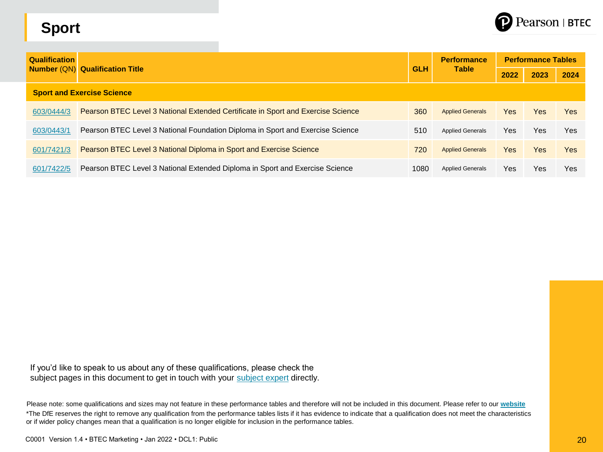# **Sport**



| <b>Qualification</b>              | <b>Number (QN) Qualification Title</b>                                           |            | <b>Performance</b><br><b>Table</b> | <b>Performance Tables</b> |            |            |  |  |  |
|-----------------------------------|----------------------------------------------------------------------------------|------------|------------------------------------|---------------------------|------------|------------|--|--|--|
|                                   |                                                                                  | <b>GLH</b> |                                    | 2022                      | 2023       | 2024       |  |  |  |
| <b>Sport and Exercise Science</b> |                                                                                  |            |                                    |                           |            |            |  |  |  |
| 603/0444/3                        | Pearson BTEC Level 3 National Extended Certificate in Sport and Exercise Science | 360        | <b>Applied Generals</b>            | Yes                       | <b>Yes</b> | <b>Yes</b> |  |  |  |
| 603/0443/1                        | Pearson BTEC Level 3 National Foundation Diploma in Sport and Exercise Science   | 510        | <b>Applied Generals</b>            | Yes                       | Yes        | Yes        |  |  |  |
| 601/7421/3                        | Pearson BTEC Level 3 National Diploma in Sport and Exercise Science              | 720        | <b>Applied Generals</b>            | Yes                       | <b>Yes</b> | <b>Yes</b> |  |  |  |
| 601/7422/5                        | Pearson BTEC Level 3 National Extended Diploma in Sport and Exercise Science     | 1080       | <b>Applied Generals</b>            | Yes                       | Yes        | Yes        |  |  |  |

If you'd like to speak to us about any of these qualifications, please check the subject pages in this document to get in touch with your [subject expert](mailto:mailto:TeachingComputerScience%40pearson.com) directly.

Please note: some qualifications and sizes may not feature in these performance tables and therefore will not be included in this document. Please refer to our **[website](https://qualifications.pearson.com/en/qualifications.html)** \*The DfE reserves the right to remove any qualification from the performance tables lists if it has evidence to indicate that a qualification does not meet the characteristics or if wider policy changes mean that a qualification is no longer eligible for inclusion in the performance tables.

C0001 Version 1.4 • BTEC Marketing • Jan 2022 • DCL1: Public 20 and 2008 **20 and 20 and 20 and 20 and 20 and 20** and 20 and 20 and 20 and 20 and 20 and 20 and 20 and 20 and 20 and 20 and 20 and 20 and 20 and 20 and 20 and